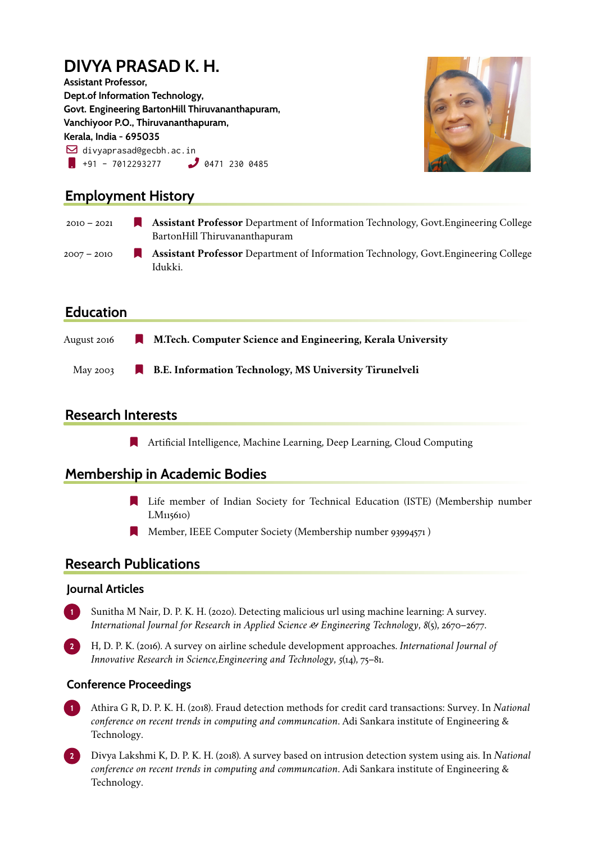# **DIVYA PRASAD K. H.**

**Assistant Professor, Dept.of Information Technology, Govt. Engineering BartonHill Thiruvananthapuram, Vanchiyoor P.O., Thiruvananthapuram, Kerala, India - 695035**  $\boxdot$  divyaprasad@gecbh.ac.in  $\bullet$  +91 - 7012293277  $\bullet$  0471 230 0485



## **Employment History**

| $2010 - 2021$ | <b>Assistant Professor</b> Department of Information Technology, Govt. Engineering College<br>BartonHill Thiruvananthapuram |
|---------------|-----------------------------------------------------------------------------------------------------------------------------|
| $2007 - 2010$ | <b>Assistant Professor</b> Department of Information Technology, Govt. Engineering College<br>Idukki.                       |

### **Education**

| August 2016 | M.Tech. Computer Science and Engineering, Kerala University   |
|-------------|---------------------------------------------------------------|
| May 2003    | <b>B.E. Information Technology, MS University Tirunelveli</b> |

# **Research Interests**

[ Artificial Intelligence, Machine Learning, Deep Learning, Cloud Computing

### **Membership in Academic Bodies**

- [ Life member of Indian Society for Technical Education (ISTE) (Membership number LM115610)
- **Nember, IEEE Computer Society (Membership number 93994571)**

### **Research Publications**

#### **Journal Articles**

- **1** Sunitha M Nair, D. P. K. H. (2020). Detecting malicious url using machine learning: A survey. *International Journal for Research in Applied Science & Engineering Technology*, *8*(5), 2670–2677.
- **2** H, D. P. K. (2016). A survey on airline schedule development approaches. *International Journal of Innovative Research in Science,Engineering and Technology*, *5*(14), 75–81.

#### **Conference Proceedings**

- **1** Athira G R, D. P. K. H. (2018). Fraud detection methods for credit card transactions: Survey. In *National conference on recent trends in computing and communcation*. Adi Sankara institute of Engineering & Technology.
- **2** Divya Lakshmi K, D. P. K. H. (2018). A survey based on intrusion detection system using ais. In *National conference on recent trends in computing and communcation*. Adi Sankara institute of Engineering & Technology.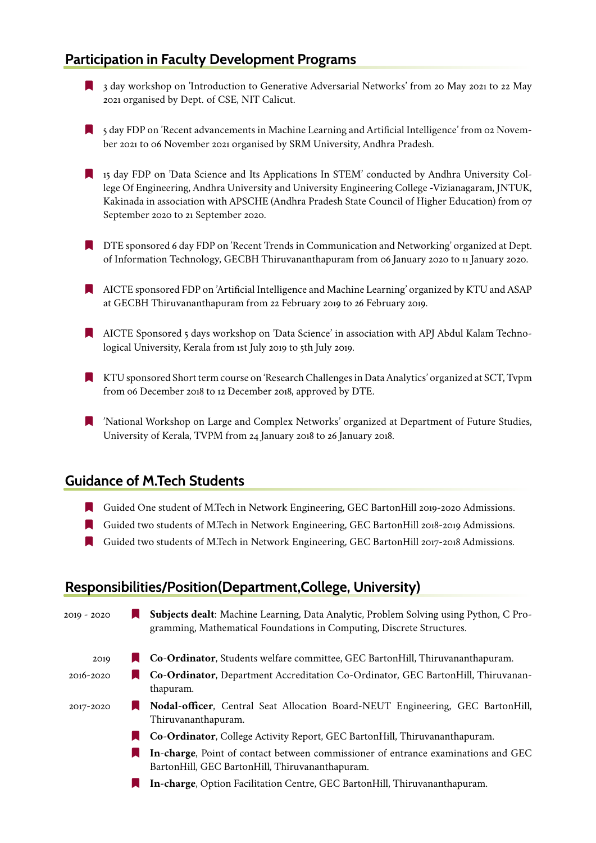### **Participation in Faculty Development Programs**

- [ 3 day workshop on 'Introduction to Generative Adversarial Networks' from 20 May 2021 to 22 May 2021 organised by Dept. of CSE, NIT Calicut.
- [ 5 day FDP on 'Recent advancements in Machine Learning and Artificial Intelligence' from 02 November 2021 to 06 November 2021 organised by SRM University, Andhra Pradesh.
- [ 15 day FDP on 'Data Science and Its Applications In STEM' conducted by Andhra University College Of Engineering, Andhra University and University Engineering College -Vizianagaram, JNTUK, Kakinada in association with APSCHE (Andhra Pradesh State Council of Higher Education) from 07 September 2020 to 21 September 2020.
- **IF DTE sponsored 6 day FDP on 'Recent Trends in Communication and Networking' organized at Dept.** of Information Technology, GECBH Thiruvananthapuram from 06 January 2020 to 11 January 2020.
- [ AICTE sponsored FDP on 'Artificial Intelligence and Machine Learning' organized by KTU and ASAP at GECBH Thiruvananthapuram from 22 February 2019 to 26 February 2019.
- [ AICTE Sponsored 5 days workshop on 'Data Science' in association with APJ Abdul Kalam Technological University, Kerala from 1st July 2019 to 5th July 2019.
- [ KTU sponsored Short term course on 'Research Challenges in Data Analytics' organized at SCT, Tvpm from 06 December 2018 to 12 December 2018, approved by DTE.
- [ 'National Workshop on Large and Complex Networks' organized at Department of Future Studies, University of Kerala, TVPM from 24 January 2018 to 26 January 2018.

#### **Guidance of M.Tech Students**

- [ Guided One student of M.Tech in Network Engineering, GEC BartonHill 2019-2020 Admissions.
- [ Guided two students of M.Tech in Network Engineering, GEC BartonHill 2018-2019 Admissions.
- [ Guided two students of M.Tech in Network Engineering, GEC BartonHill 2017-2018 Admissions.

#### **Responsibilities/Position(Department,College, University)**